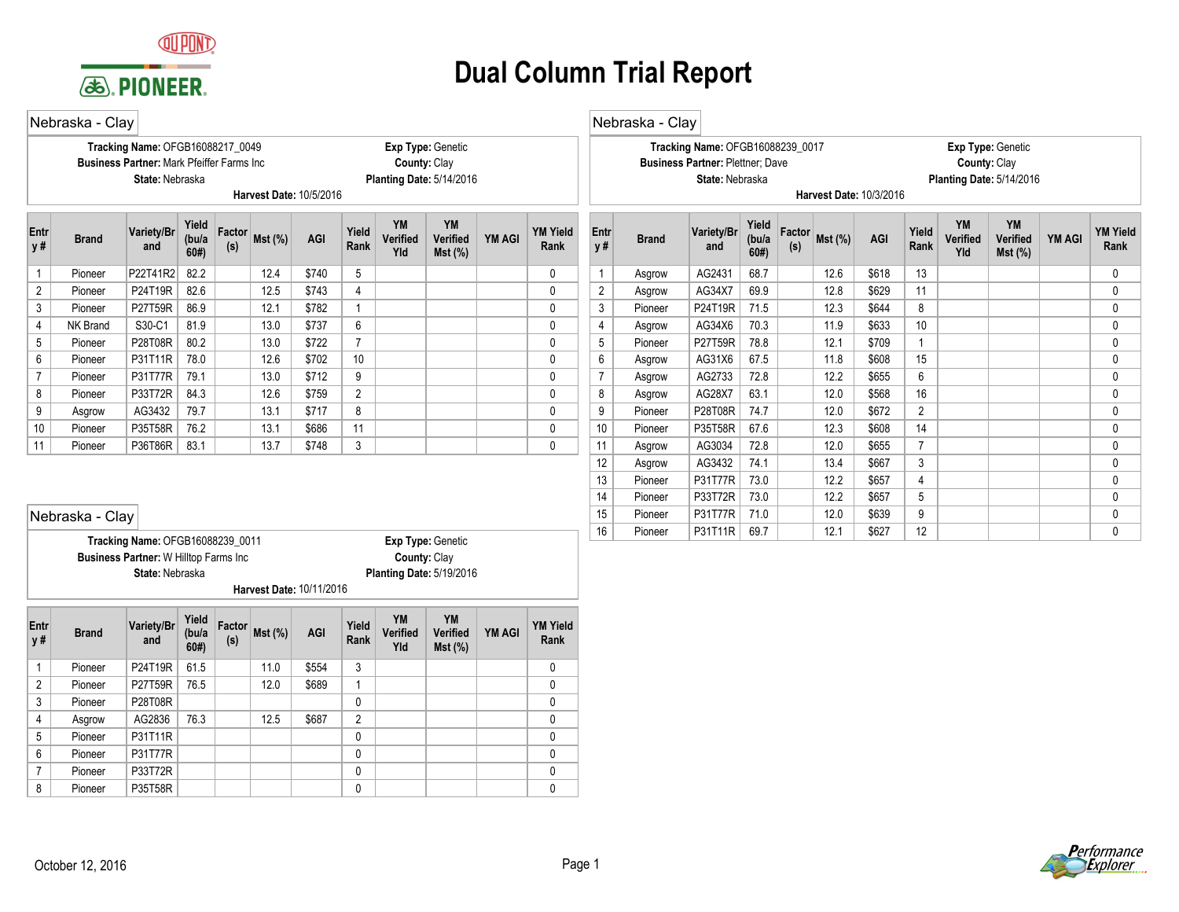

**Harvest Date:** 10/11/2016 **State:** Nebraska **Planting Date:** 5/19/2016

8 Pioneer | P35T58R | | | | | | | | | | | | | | | | 0 | | | | | | | | | | | | | 0 7 | Pioneer |P33T72R | | | | | | | 0 | | | | | | | 0 6 Pioneer P31T77R 0 0 5 Pioneer P31T11R 0 0 4 | Asgrow | AG2836 | 76.3 | | 12.5 | \$687 | 2 | | | | | | 0 3 Pioneer P28T08R 0 0 2 | Pioneer | P27T59R | 76.5 | 12.0 | \$689 | 1 | | | | | | | | | | | 0 1 Pioneer P24T19R 61.5 11.0 \$554 3 0

**Rank Mst (%) AGI Factor**

**(s)**

**Yield (bu/a 60#)**

**Variety/Br**

**and Brand Entr y #**

## **Dual Column Trial Report**

|                                                                                                                                                                                                                                                                          | Nebraska - Clay |                                                                                                          |      |  |      |                         |                 |                                          |                   |  |                         |                   | Nebraska - Clay |                                                                                                |                       |               |                         |       |                |                              |                                                      |               |                         |
|--------------------------------------------------------------------------------------------------------------------------------------------------------------------------------------------------------------------------------------------------------------------------|-----------------|----------------------------------------------------------------------------------------------------------|------|--|------|-------------------------|-----------------|------------------------------------------|-------------------|--|-------------------------|-------------------|-----------------|------------------------------------------------------------------------------------------------|-----------------------|---------------|-------------------------|-------|----------------|------------------------------|------------------------------------------------------|---------------|-------------------------|
|                                                                                                                                                                                                                                                                          |                 | Tracking Name: OFGB16088217_0049<br><b>Business Partner: Mark Pfeiffer Farms Inc.</b><br>State: Nebraska |      |  |      | Harvest Date: 10/5/2016 |                 | County: Clay<br>Planting Date: 5/14/2016 | Exp Type: Genetic |  |                         |                   |                 | Tracking Name: OFGB16088239 0017<br><b>Business Partner: Plettner: Dave</b><br>State: Nebraska |                       |               | Harvest Date: 10/3/2016 |       |                | County: Clay                 | Exp Type: Genetic<br><b>Planting Date: 5/14/2016</b> |               |                         |
| <b>YM</b><br>YM<br>Yield<br>Factor<br>Variety/Br<br>Yield<br>Entr<br>Mst (%)<br>AGI<br>Verified<br><b>YM AGI</b><br>(bu/a<br><b>Verified</b><br><b>Brand</b><br>y#<br>Rank<br>(s)<br>and<br>60#<br>Yld<br>$Mst$ (%)<br>P22T41R2<br>82.2<br>12.4<br>\$740<br>5<br>Pioneer |                 |                                                                                                          |      |  |      |                         |                 |                                          |                   |  | <b>YM Yield</b><br>Rank | <b>Entr</b><br>y# | <b>Brand</b>    | Variety/Br<br>and                                                                              | Yield<br>(bu/a<br>60# | Factor<br>(s) | $Mst$ (%)               | AGI   | Yield<br>Rank  | <b>YM</b><br>Verified<br>Yld | YM<br>Verified<br>Mst (%)                            | <b>YM AGI</b> | <b>YM Yield</b><br>Rank |
|                                                                                                                                                                                                                                                                          |                 |                                                                                                          |      |  |      |                         |                 |                                          |                   |  | $\Omega$                |                   | Asgrow          | AG2431                                                                                         | 68.7                  |               | 12.6                    | \$618 | 13             |                              |                                                      |               | <sup>0</sup>            |
| $\overline{2}$                                                                                                                                                                                                                                                           | Pioneer         | P24T19R                                                                                                  | 82.6 |  | 12.5 | \$743                   | $\overline{4}$  |                                          |                   |  | $\mathbf{0}$            | $\overline{2}$    | Asgrow          | AG34X7                                                                                         | 69.9                  |               | 12.8                    | \$629 | 11             |                              |                                                      |               | 0                       |
| 3                                                                                                                                                                                                                                                                        | Pioneer         | P27T59R                                                                                                  | 86.9 |  | 12.1 | \$782                   | $\mathbf{1}$    |                                          |                   |  | $\Omega$                | 3                 | Pioneer         | P24T19R                                                                                        | 71.5                  |               | 12.3                    | \$644 | 8              |                              |                                                      |               | 0                       |
| $\overline{4}$                                                                                                                                                                                                                                                           | <b>NK Brand</b> | S30-C1                                                                                                   | 81.9 |  | 13.0 | \$737                   | 6               |                                          |                   |  | 0                       | 4                 | Asgrow          | AG34X6                                                                                         | 70.3                  |               | 11.9                    | \$633 | 10             |                              |                                                      |               |                         |
| 5                                                                                                                                                                                                                                                                        | Pioneer         | P28T08R                                                                                                  | 80.2 |  | 13.0 | \$722                   | 7               |                                          |                   |  | $\Omega$                | 5                 | Pioneer         | P27T59R                                                                                        | 78.8                  |               | 12.1                    | \$709 | 1              |                              |                                                      |               |                         |
| 6                                                                                                                                                                                                                                                                        | Pioneer         | P31T11R                                                                                                  | 78.0 |  | 12.6 | \$702                   | 10 <sup>°</sup> |                                          |                   |  | $\Omega$                | 6                 | Asgrow          | AG31X6                                                                                         | 67.5                  |               | 11.8                    | \$608 | 15             |                              |                                                      |               | <sup>0</sup>            |
| $\overline{7}$                                                                                                                                                                                                                                                           | Pioneer         | P31T77R                                                                                                  | 79.1 |  | 13.0 | \$712                   | 9               |                                          |                   |  | $\mathbf{0}$            | $\overline{7}$    | Asgrow          | AG2733                                                                                         | 72.8                  |               | 12.2                    | \$655 | 6              |                              |                                                      |               | 0                       |
| 8                                                                                                                                                                                                                                                                        | Pioneer         | P33T72R                                                                                                  | 84.3 |  | 12.6 | \$759                   | $\overline{2}$  |                                          |                   |  | $\mathbf{0}$            | 8                 | Asgrow          | AG28X7                                                                                         | 63.1                  |               | 12.0                    | \$568 | 16             |                              |                                                      |               | 0                       |
| 9                                                                                                                                                                                                                                                                        | Asgrow          | AG3432                                                                                                   | 79.7 |  | 13.1 | \$717                   | 8               |                                          |                   |  | 0                       | 9                 | Pioneer         | P28T08R                                                                                        | 74.7                  |               | 12.0                    | \$672 | $\overline{2}$ |                              |                                                      |               | 0                       |
| 10                                                                                                                                                                                                                                                                       | Pioneer         | P35T58R                                                                                                  | 76.2 |  | 13.1 | \$686                   | 11              |                                          |                   |  | 0                       | 10                | Pioneer         | P35T58R                                                                                        | 67.6                  |               | 12.3                    | \$608 | 14             |                              |                                                      |               |                         |
| 11                                                                                                                                                                                                                                                                       | Pioneer         | P36T86R                                                                                                  | 83.1 |  | 13.7 | \$748                   | 3               |                                          |                   |  | 0                       | 11                | Asgrow          | AG3034                                                                                         | 72.8                  |               | 12.0                    | \$655 | $\overline{7}$ |                              |                                                      |               | 0                       |
|                                                                                                                                                                                                                                                                          |                 |                                                                                                          |      |  |      |                         |                 |                                          |                   |  |                         | 12                | Asgrow          | AG3432                                                                                         | 74.1                  |               | 13.4                    | \$667 | 3              |                              |                                                      |               | <sup>0</sup>            |
|                                                                                                                                                                                                                                                                          |                 |                                                                                                          |      |  |      |                         |                 |                                          |                   |  |                         | 13                | Pioneer         | <b>P31T77R</b>                                                                                 | 73.0                  |               | 12.2                    | \$657 | 4              |                              |                                                      |               |                         |
|                                                                                                                                                                                                                                                                          |                 |                                                                                                          |      |  |      |                         |                 |                                          |                   |  |                         | 14                | Pioneer         | P33T72R                                                                                        | 73.0                  |               | 12.2                    | \$657 | 5              |                              |                                                      |               | 0                       |
|                                                                                                                                                                                                                                                                          | Nebraska - Clay |                                                                                                          |      |  |      |                         |                 |                                          |                   |  |                         | 15                | Pioneer         | <b>P31T77R</b>                                                                                 | 71.0                  |               | 12.0                    | \$639 | 9              |                              |                                                      |               | 0                       |
|                                                                                                                                                                                                                                                                          |                 | Tracking Name: OFGB16088239 0011                                                                         |      |  |      |                         |                 |                                          | Exp Type: Genetic |  |                         | 16                | Pioneer         | P31T11R                                                                                        | 69.7                  |               | 12.1                    | \$627 | 12             |                              |                                                      |               | 0                       |
|                                                                                                                                                                                                                                                                          |                 | <b>Business Partner: W Hilltop Farms Inc.</b>                                                            |      |  |      |                         |                 | County: Clay                             |                   |  |                         |                   |                 |                                                                                                |                       |               |                         |       |                |                              |                                                      |               |                         |

**YM Yield**

**Rank YM AGI**

**YM Verified Mst (%)**

**YM Verified Yld**

**Yield**

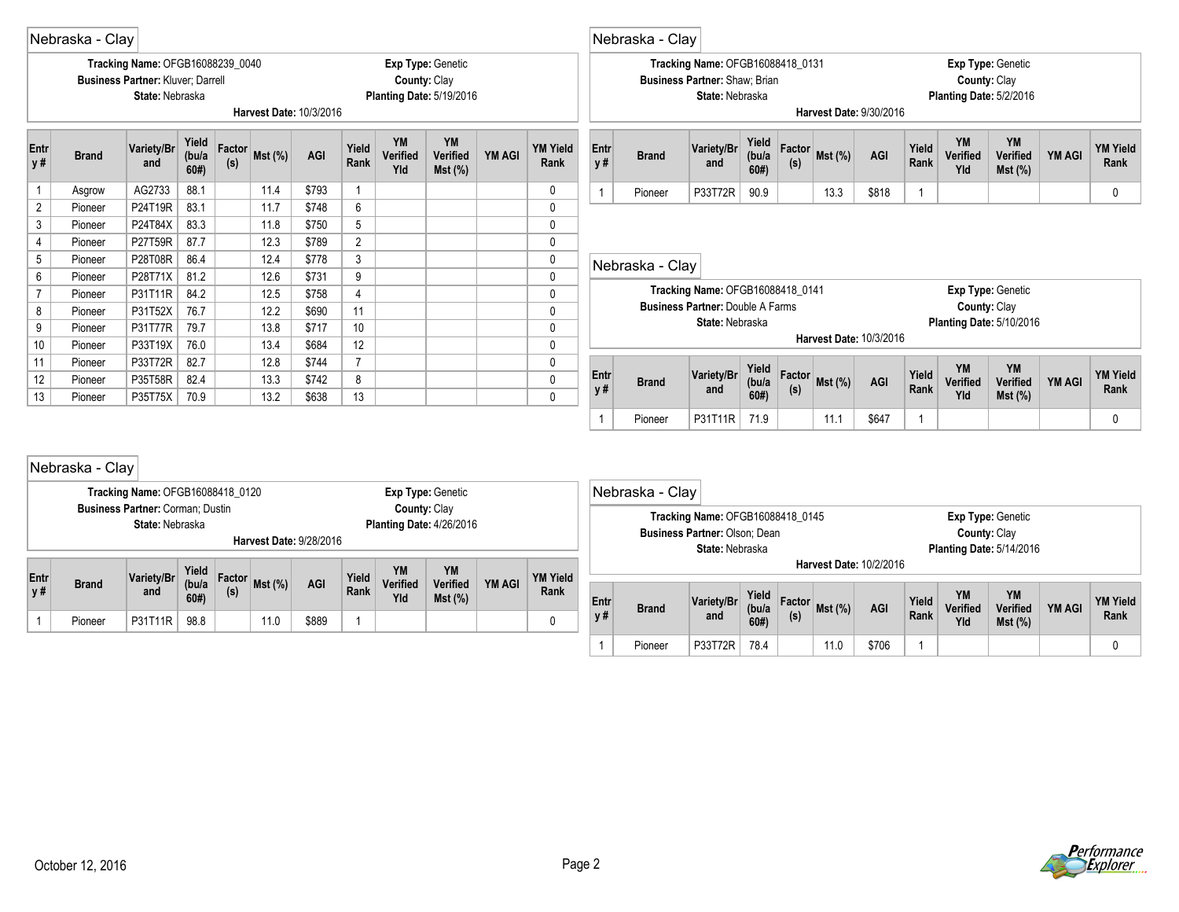|                                                                                                                                           | Nebraska - Clay                                                    |                                                                                                 |                        |               |        |                         |                |                                                 |                                 |               |                              |                   | Nebraska - Clay |                                                                                      |                       |               |           |                         |                |                                         |                                                      |               |                         |
|-------------------------------------------------------------------------------------------------------------------------------------------|--------------------------------------------------------------------|-------------------------------------------------------------------------------------------------|------------------------|---------------|--------|-------------------------|----------------|-------------------------------------------------|---------------------------------|---------------|------------------------------|-------------------|-----------------|--------------------------------------------------------------------------------------|-----------------------|---------------|-----------|-------------------------|----------------|-----------------------------------------|------------------------------------------------------|---------------|-------------------------|
|                                                                                                                                           |                                                                    | Tracking Name: OFGB16088239 0040<br><b>Business Partner: Kluver: Darrell</b><br>State: Nebraska |                        |               |        | Harvest Date: 10/3/2016 |                | County: Clay<br><b>Planting Date: 5/19/2016</b> | Exp Type: Genetic               |               |                              |                   |                 | Tracking Name: OFGB16088418_0131<br>Business Partner: Shaw; Brian<br>State: Nebraska |                       |               |           | Harvest Date: 9/30/2016 |                | County: Clay<br>Planting Date: 5/2/2016 | Exp Type: Genetic                                    |               |                         |
| Entr<br>y#                                                                                                                                | <b>Brand</b>                                                       | Variety/Br<br>and                                                                               | Yield<br>(bu/a)<br>60# | Factor<br>(s) | Mst(%) | AGI                     | Yield<br>Rank  | <b>YM</b><br>Verified<br>Yld                    | <b>YM</b><br>Verified<br>Mst(%) | YM AGI        | <b>YM Yield</b><br>Rank      | <b>Entr</b><br>y# | <b>Brand</b>    | Variety/Br<br>and                                                                    | Yield<br>(bu/a<br>60# | Factor<br>(s) | Mst(%)    | AGI                     | Yield<br>Rank  | <b>YM</b><br>Verified<br>Yld            | YM<br>Verified<br>Mst(%)                             | <b>YM AGI</b> | <b>YM Yield</b><br>Rank |
|                                                                                                                                           | Asgrow                                                             | AG2733                                                                                          | 88.1                   |               | 11.4   | \$793                   | $\mathbf{1}$   |                                                 |                                 |               | $\mathbf{0}$                 | $\mathbf{1}$      | Pioneer         | P33T72R                                                                              | 90.9                  |               | 13.3      | \$818                   | $\overline{1}$ |                                         |                                                      |               | $\mathbf 0$             |
| $\overline{2}$                                                                                                                            | Pioneer                                                            | P24T19R                                                                                         | 83.1                   |               | 11.7   | \$748                   | 6              |                                                 |                                 |               | $\mathbf{0}$                 |                   |                 |                                                                                      |                       |               |           |                         |                |                                         |                                                      |               |                         |
| 3                                                                                                                                         | Pioneer                                                            | P24T84X                                                                                         | 83.3                   |               | 11.8   | \$750                   | 5              |                                                 |                                 |               | 0                            |                   |                 |                                                                                      |                       |               |           |                         |                |                                         |                                                      |               |                         |
| $\overline{4}$                                                                                                                            | Pioneer                                                            | P27T59R                                                                                         | 87.7                   |               | 12.3   | \$789                   | $\overline{2}$ |                                                 |                                 |               | $\mathbf{0}$<br>0            |                   |                 |                                                                                      |                       |               |           |                         |                |                                         |                                                      |               |                         |
| $\mathfrak{Z}$<br>5<br>86.4<br>12.4<br>P28T08R<br>\$778<br>Pioneer<br>9<br>6<br>81.2<br>\$731<br>P28T71X<br>12.6<br>Pioneer               |                                                                    |                                                                                                 |                        |               |        |                         |                |                                                 |                                 |               |                              |                   | Nebraska - Clay |                                                                                      |                       |               |           |                         |                |                                         |                                                      |               |                         |
|                                                                                                                                           |                                                                    |                                                                                                 |                        |               |        |                         |                |                                                 |                                 |               |                              |                   |                 | Tracking Name: OFGB16088418_0141                                                     |                       |               |           |                         |                |                                         | Exp Type: Genetic                                    |               |                         |
| $\overline{7}$<br>84.2<br>P31T11R<br>12.5<br>\$758<br>$\overline{4}$<br>Pioneer<br>8<br>76.7<br>12.2<br>\$690<br>11<br>P31T52X<br>Pioneer |                                                                    |                                                                                                 |                        |               |        |                         |                |                                                 |                                 |               |                              |                   |                 | <b>Business Partner: Double A Farms</b>                                              |                       |               |           |                         |                | County: Clay                            |                                                      |               |                         |
| 9                                                                                                                                         | Pioneer                                                            | P31T77R                                                                                         | 79.7                   |               | 13.8   | \$717                   | 10             |                                                 |                                 |               | $\mathbf{0}$<br>$\mathbf{0}$ |                   |                 | State: Nebraska                                                                      |                       |               |           |                         |                |                                         | <b>Planting Date: 5/10/2016</b>                      |               |                         |
| 10                                                                                                                                        | Pioneer                                                            | P33T19X                                                                                         | 76.0                   |               | 13.4   | \$684                   | 12             |                                                 |                                 |               | 0                            |                   |                 |                                                                                      |                       |               |           | Harvest Date: 10/3/2016 |                |                                         |                                                      |               |                         |
| 11                                                                                                                                        | Pioneer                                                            | P33T72R                                                                                         | 82.7                   |               | 12.8   | \$744                   | $\overline{7}$ |                                                 |                                 |               | $\mathbf{0}$                 |                   |                 |                                                                                      |                       |               |           |                         |                |                                         |                                                      |               |                         |
| 12                                                                                                                                        | Pioneer                                                            | P35T58R                                                                                         | 82.4                   |               | 13.3   | \$742                   | 8              |                                                 |                                 |               | $\mathbf{0}$                 | <b>Entr</b>       | <b>Brand</b>    | Variety/Br                                                                           | Yield<br>(bu/a)       | Factor        | $Mst$ (%) | AGI                     | Yield          | <b>YM</b><br>Verified                   | YM<br>Verified                                       | <b>YM AGI</b> | <b>YM Yield</b>         |
| 13                                                                                                                                        | Pioneer                                                            | P35T75X                                                                                         | 70.9                   |               | 13.2   | \$638                   | 13             |                                                 |                                 |               | $\mathbf{0}$                 | y#                |                 | and                                                                                  | 60#                   | (s)           |           |                         | Rank           | Yld                                     | Mst(%)                                               |               | Rank                    |
|                                                                                                                                           |                                                                    |                                                                                                 |                        |               |        |                         |                |                                                 |                                 |               |                              | $\mathbf{1}$      | Pioneer         | P31T11R                                                                              | 71.9                  |               | 11.1      | \$647                   | $\overline{1}$ |                                         |                                                      |               | $\mathbf 0$             |
|                                                                                                                                           | Nebraska - Clay                                                    | Tracking Name: OFGB16088418_0120                                                                |                        |               |        |                         |                |                                                 | Exp Type: Genetic               |               |                              |                   | Nebraska - Clay |                                                                                      |                       |               |           |                         |                |                                         |                                                      |               |                         |
|                                                                                                                                           |                                                                    | <b>Business Partner: Corman: Dustin</b><br>State: Nebraska                                      |                        |               |        | Harvest Date: 9/28/2016 |                | County: Clay<br><b>Planting Date: 4/26/2016</b> |                                 |               |                              |                   |                 | Tracking Name: OFGB16088418 0145<br>Business Partner: Olson: Dean<br>State: Nebraska |                       |               |           | Harvest Date: 10/2/2016 |                | County: Clay                            | Exp Type: Genetic<br><b>Planting Date: 5/14/2016</b> |               |                         |
| Entr<br>y#                                                                                                                                | <b>Brand</b>                                                       | Variety/Br<br>and                                                                               | Yield<br>(bu/a)<br>60# | Factor<br>(s) | Mst(%) | AGI                     | Yield<br>Rank  | <b>YM</b><br>Verified<br>Yld                    | YM<br>Verified<br>Mst (%)       | <b>YM AGI</b> | <b>YM Yield</b><br>Rank      | <b>Entr</b><br>V# | <b>Brand</b>    | Variety/Br<br>and                                                                    | Yield<br>(bu/a)       | Factor<br>(s) | Mst(%)    | AGI                     | Yield<br>Rank  | <b>YM</b><br>Verified                   | YM<br><b>Verified</b>                                | <b>YM AGI</b> | <b>YM Yield</b><br>Rank |
|                                                                                                                                           | 98.8<br>11.0<br>\$889<br>$\overline{1}$<br>0<br>P31T11R<br>Pioneer |                                                                                                 |                        |               |        |                         |                |                                                 |                                 |               |                              |                   |                 |                                                                                      | 60#                   |               |           |                         |                | Yld                                     | $Mst$ (%)                                            |               |                         |

Е



1 Pioneer P33T72R 78.4 11.0 \$706 1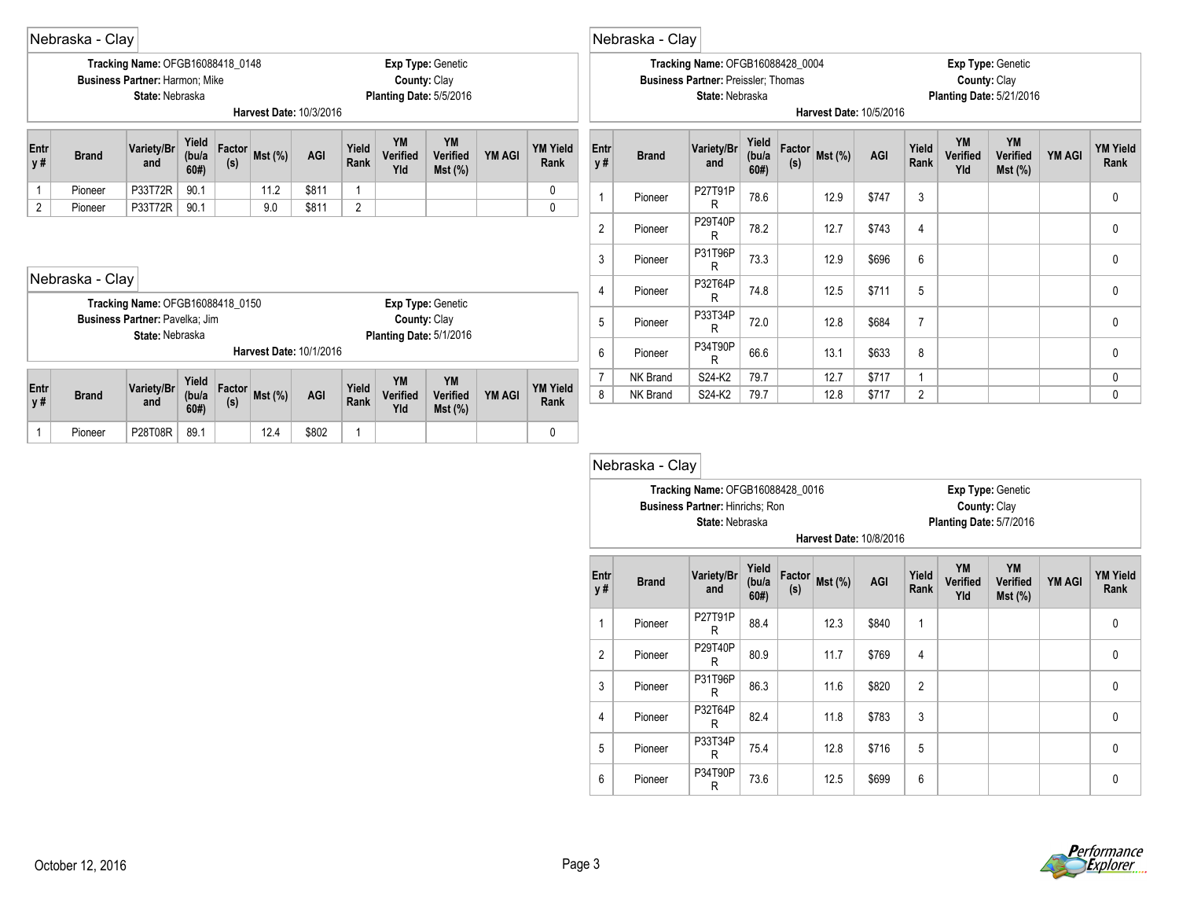|                    | Nebraska - Clay                                                                                                                                                                                                                                                                             |                                                                                              |              |               |                         |       |               |                 |                                                              |               |                         |                   | Nebraska - Clay |                                                                                                          |                       |     |                |                         |                |                       |                                                             |               |                         |
|--------------------|---------------------------------------------------------------------------------------------------------------------------------------------------------------------------------------------------------------------------------------------------------------------------------------------|----------------------------------------------------------------------------------------------|--------------|---------------|-------------------------|-------|---------------|-----------------|--------------------------------------------------------------|---------------|-------------------------|-------------------|-----------------|----------------------------------------------------------------------------------------------------------|-----------------------|-----|----------------|-------------------------|----------------|-----------------------|-------------------------------------------------------------|---------------|-------------------------|
|                    |                                                                                                                                                                                                                                                                                             | Tracking Name: OFGB16088418_0148<br><b>Business Partner: Harmon: Mike</b><br>State: Nebraska |              |               | Harvest Date: 10/3/2016 |       |               |                 | Exp Type: Genetic<br>County: Clay<br>Planting Date: 5/5/2016 |               |                         |                   |                 | <b>Tracking Name: OFGB16088428_0004</b><br><b>Business Partner: Preissler: Thomas</b><br>State: Nebraska |                       |     |                | Harvest Date: 10/5/2016 |                | County: Clay          | <b>Exp Type: Genetic</b><br><b>Planting Date: 5/21/2016</b> |               |                         |
| Entr<br>y #        | <b>YM</b><br><b>YM</b><br>Yield<br>Variety/Br<br>Factor<br><b>YM Yield</b><br>Yield<br>(bu/a<br>$Mst$ (%)<br>AGI<br><b>YM AGI</b><br>Verified<br>Verified<br><b>Brand</b><br>Rank<br>(s)<br>and<br>60#<br>Yld<br>$Mst$ (%)<br>90.1<br>\$811<br>P33T72R<br>11.2<br>Pioneer<br>$\overline{1}$ |                                                                                              |              |               |                         |       |               |                 |                                                              |               |                         | <b>Entr</b><br>y# | <b>Brand</b>    | Variety/Br<br>and                                                                                        | Yield<br>(bu/a<br>60# | (s) | Factor Mst (%) | AGI                     | Yield<br>Rank  | YM<br>Verified<br>Yld | YM<br>Verified<br>$Mst$ (%)                                 | <b>YM AGI</b> | <b>YM Yield</b><br>Rank |
|                    |                                                                                                                                                                                                                                                                                             |                                                                                              |              |               |                         |       |               |                 |                                                              |               |                         |                   | Pioneer         | P27T91P<br>R                                                                                             | 78.6                  |     | 12.9           | \$747                   | 3              |                       |                                                             |               | 0                       |
| 2                  | 90.1<br>2<br>P33T72R<br>9.0<br>\$811<br>Pioneer                                                                                                                                                                                                                                             |                                                                                              |              |               |                         |       |               |                 |                                                              |               |                         | $\overline{2}$    | Pioneer         | P29T40P<br>R                                                                                             | 78.2                  |     | 12.7           | \$743                   | 4              |                       |                                                             |               | 0                       |
|                    |                                                                                                                                                                                                                                                                                             |                                                                                              |              |               |                         |       |               |                 |                                                              |               |                         | 3                 | Pioneer         | P31T96P<br>R                                                                                             | 73.3                  |     | 12.9           | \$696                   | 6              |                       |                                                             |               | 0                       |
|                    | Nebraska - Clay                                                                                                                                                                                                                                                                             |                                                                                              |              |               |                         |       |               |                 |                                                              |               |                         | $\overline{4}$    | Pioneer         | P32T64P<br>R                                                                                             | 74.8                  |     | 12.5           | \$711                   | 5              |                       |                                                             |               | $\mathbf{0}$            |
|                    |                                                                                                                                                                                                                                                                                             | Tracking Name: OFGB16088418_0150<br>Business Partner: Pavelka; Jim<br>State: Nebraska        |              |               |                         |       |               |                 | Exp Type: Genetic<br>County: Clay                            |               |                         | 5                 | Pioneer         | P33T34P<br>R                                                                                             | 72.0                  |     | 12.8           | \$684                   |                |                       |                                                             |               | 0                       |
|                    |                                                                                                                                                                                                                                                                                             |                                                                                              |              |               | Harvest Date: 10/1/2016 |       |               |                 | Planting Date: 5/1/2016                                      |               |                         | 6                 | Pioneer         | P34T90P<br>R                                                                                             | 66.6                  |     | 13.1           | \$633                   | 8              |                       |                                                             |               | 0                       |
|                    |                                                                                                                                                                                                                                                                                             |                                                                                              | Yield        |               |                         |       |               | YM              | YM                                                           |               |                         | $\overline{7}$    | NK Brand        | S24-K2                                                                                                   | 79.7                  |     | 12.7           | \$717                   | $\overline{ }$ |                       |                                                             |               | 0                       |
| <b>Entr</b><br>y # | <b>Brand</b>                                                                                                                                                                                                                                                                                | Variety/Br<br>and                                                                            | (bu/a<br>60# | Factor<br>(s) | $Mst$ (%)               | AGI   | Yield<br>Rank | Verified<br>Yld | Verified<br>$Mst$ (%)                                        | <b>YM AGI</b> | <b>YM Yield</b><br>Rank | 8                 | NK Brand        | S24-K2                                                                                                   | 79.7                  |     | 12.8           | \$717                   | $\overline{2}$ |                       |                                                             |               | 0                       |
|                    | Pioneer                                                                                                                                                                                                                                                                                     | P28T08R                                                                                      | 89.1         |               | 12.4                    | \$802 |               |                 |                                                              |               | 0                       |                   |                 |                                                                                                          |                       |     |                |                         |                |                       |                                                             |               |                         |

|                |              | Tracking Name: OFGB16088428_0016<br><b>Business Partner: Hinrichs: Ron</b><br>State: Nebraska |                       |               |         | <b>Harvest Date: 10/8/2016</b> |                | County: Clay<br>Planting Date: 5/7/2016 | Exp Type: Genetic                  |               |                         |
|----------------|--------------|-----------------------------------------------------------------------------------------------|-----------------------|---------------|---------|--------------------------------|----------------|-----------------------------------------|------------------------------------|---------------|-------------------------|
| Entr<br>y#     | <b>Brand</b> | Variety/Br<br>and                                                                             | Yield<br>(bu/a<br>60# | Factor<br>(s) | Mst (%) | <b>AGI</b>                     | Yield<br>Rank  | <b>YM</b><br>Verified<br>Yld            | YM<br><b>Verified</b><br>$Mst$ (%) | <b>YM AGI</b> | <b>YM Yield</b><br>Rank |
| 1              | Pioneer      | P27T91P<br>R                                                                                  | 88.4                  |               | 12.3    | \$840                          | 1              |                                         |                                    |               | $\mathbf 0$             |
| $\overline{2}$ | Pioneer      | P29T40P<br>R                                                                                  | 80.9                  |               | 11.7    | \$769                          | 4              |                                         |                                    |               | 0                       |
| 3              | Pioneer      | P31T96P<br>R                                                                                  | 86.3                  |               | 11.6    | \$820                          | $\overline{2}$ |                                         |                                    |               | 0                       |
| 4              | Pioneer      | P32T64P<br>R                                                                                  | 82.4                  |               | 11.8    | \$783                          | 3              |                                         |                                    |               | $\mathbf{0}$            |
| 5              | Pioneer      | P33T34P<br>R                                                                                  | 75.4                  |               | 12.8    | \$716                          | 5              |                                         |                                    |               | $\mathbf{0}$            |
| 6              | Pioneer      | P34T90P<br>R                                                                                  | 73.6                  |               | 12.5    | \$699                          | 6              |                                         |                                    |               | 0                       |

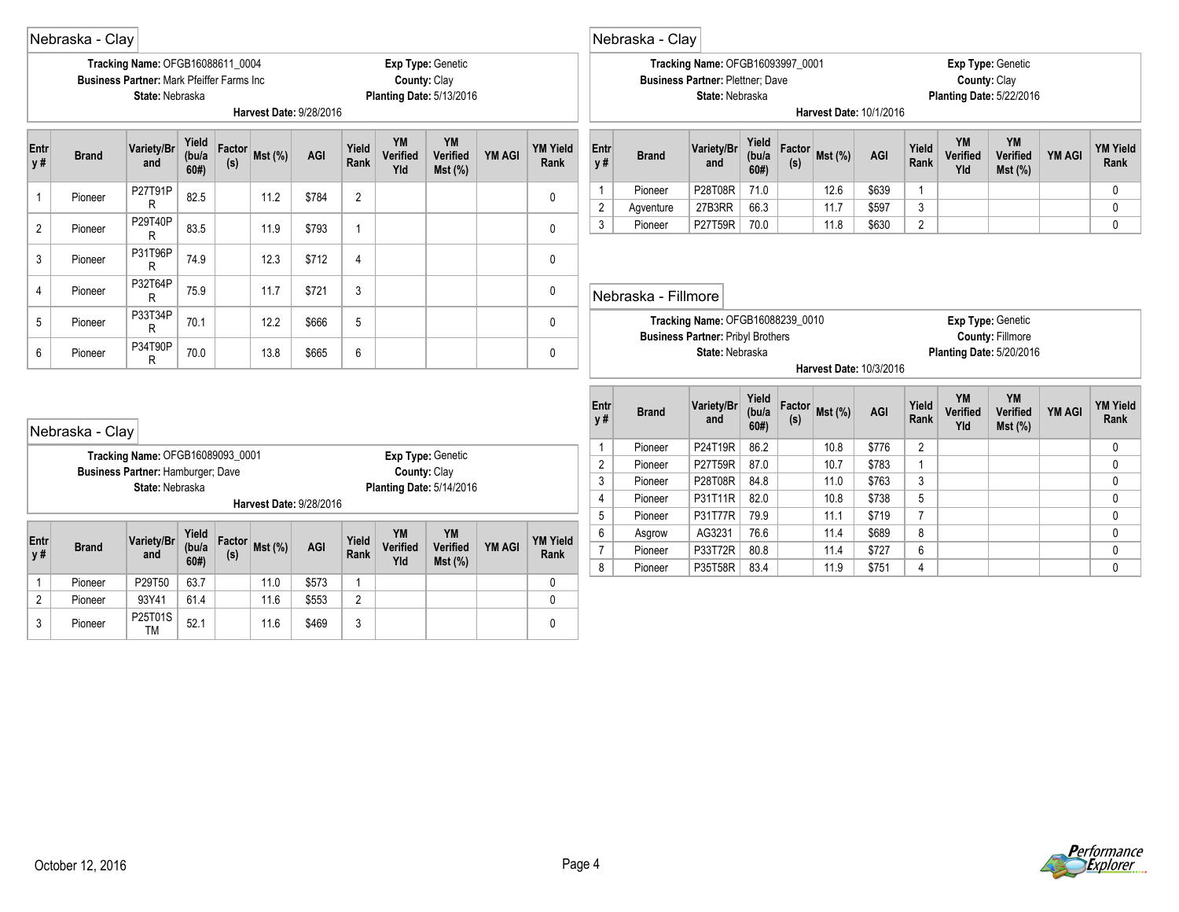|                | Nebraska - Clay                                                    |                                                                                                          |                       |               |         |                         |                |                                                 |                          |               |                         |                   | Nebraska - Clay     |                                                                                                |                        |               |                         |                |                |                              |                                                      |        |                              |
|----------------|--------------------------------------------------------------------|----------------------------------------------------------------------------------------------------------|-----------------------|---------------|---------|-------------------------|----------------|-------------------------------------------------|--------------------------|---------------|-------------------------|-------------------|---------------------|------------------------------------------------------------------------------------------------|------------------------|---------------|-------------------------|----------------|----------------|------------------------------|------------------------------------------------------|--------|------------------------------|
|                |                                                                    | Tracking Name: OFGB16088611_0004<br><b>Business Partner: Mark Pfeiffer Farms Inc.</b><br>State: Nebraska |                       |               |         | Harvest Date: 9/28/2016 |                | County: Clay<br><b>Planting Date: 5/13/2016</b> | Exp Type: Genetic        |               |                         |                   |                     | Tracking Name: OFGB16093997_0001<br><b>Business Partner: Plettner: Dave</b><br>State: Nebraska |                        |               | Harvest Date: 10/1/2016 |                |                | County: Clay                 | Exp Type: Genetic<br><b>Planting Date: 5/22/2016</b> |        |                              |
| Entr<br>y#     | <b>Brand</b>                                                       | Variety/Br<br>and                                                                                        | Yield<br>(bu/a<br>60# | Factor<br>(s) | Mst (%) | AGI                     | Yield<br>Rank  | YM<br>Verified<br>Yld                           | YM<br>Verified<br>Mst(%) | <b>YM AGI</b> | <b>YM Yield</b><br>Rank | Entr<br>y#        | <b>Brand</b>        | Variety/Br<br>and                                                                              | Yield<br>(bu/a<br>60#  | Factor<br>(s) | Mst (%)                 | AGI            | Yield<br>Rank  | <b>YM</b><br>Verified<br>Yld | YM<br>Verified<br>Mst(%)                             | YM AGI | <b>YM Yield</b><br>Rank      |
| $\mathbf{1}$   | Pioneer                                                            | P27T91P                                                                                                  | 82.5                  |               | 11.2    | \$784                   | $\overline{2}$ |                                                 |                          |               | $\mathbf{0}$            | $\mathbf{1}$      | Pioneer             | P28T08R                                                                                        | 71.0                   |               | 12.6                    | \$639          | $\overline{1}$ |                              |                                                      |        | $\mathbf{0}$                 |
|                |                                                                    | R                                                                                                        |                       |               |         |                         |                |                                                 |                          |               |                         | $\overline{2}$    | Agventure           | 27B3RR                                                                                         | 66.3                   |               | 11.7                    | \$597          | 3              |                              |                                                      |        | 0                            |
| 2              | Pioneer                                                            | P29T40P<br>R                                                                                             | 83.5                  |               | 11.9    | \$793                   | $\mathbf{1}$   |                                                 |                          |               | $\mathbf{0}$            | $\mathbf{3}$      | Pioneer             | P27T59R                                                                                        | 70.0                   |               | 11.8                    | \$630          | $\overline{2}$ |                              |                                                      |        | $\mathbf{0}$                 |
| 3              | P31T96P<br>74.9<br>\$712<br>$\overline{4}$<br>12.3<br>Pioneer<br>R |                                                                                                          |                       |               |         |                         |                |                                                 |                          |               |                         |                   |                     |                                                                                                |                        |               |                         |                |                |                              |                                                      |        |                              |
| 4              | P32T64P<br>75.9<br>\$721<br>3<br>11.7<br>Pioneer<br>R              |                                                                                                          |                       |               |         |                         |                |                                                 |                          |               |                         |                   | Nebraska - Fillmore |                                                                                                |                        |               |                         |                |                |                              |                                                      |        |                              |
| 5              | P33T34P<br>5<br>70.1<br>12.2<br>\$666<br>Pioneer<br>R              |                                                                                                          |                       |               |         |                         |                |                                                 |                          |               |                         |                   |                     | Tracking Name: OFGB16088239_0010<br><b>Business Partner: Pribyl Brothers</b>                   |                        |               |                         |                |                |                              | Exp Type: Genetic<br><b>County: Fillmore</b>         |        |                              |
| 6              | Pioneer                                                            | P34T90P<br>R                                                                                             | 70.0                  |               | 13.8    | \$665                   | 6              |                                                 |                          |               | 0                       |                   |                     | State: Nebraska                                                                                |                        |               | Harvest Date: 10/3/2016 |                |                |                              | <b>Planting Date: 5/20/2016</b>                      |        |                              |
|                | Nebraska - Clay                                                    |                                                                                                          |                       |               |         |                         |                |                                                 |                          |               |                         | Entr<br><b>y#</b> | <b>Brand</b>        | Variety/Br<br>and                                                                              | Yield<br>(bu/a)<br>60# | Factor<br>(s) | <b>Mst (%)</b>          | AGI            | Yield<br>Rank  | YM<br>Verified<br>Yld        | YM<br>Verified<br>Mst(%)                             | YM AGI | <b>YM Yield</b><br>Rank      |
|                |                                                                    | Tracking Name: OFGB16089093 0001                                                                         |                       |               |         |                         |                |                                                 | Exp Type: Genetic        |               |                         | $\mathbf{1}$      | Pioneer             | P24T19R                                                                                        | 86.2                   |               | 10.8                    | \$776          | $\overline{2}$ |                              |                                                      |        | 0                            |
|                |                                                                    | Business Partner: Hamburger; Dave                                                                        |                       |               |         |                         |                | County: Clay                                    |                          |               |                         | $\overline{2}$    | Pioneer             | P27T59R                                                                                        | 87.0                   |               | 10.7                    | \$783          | $\overline{1}$ |                              |                                                      |        | $\Omega$                     |
|                |                                                                    | State: Nebraska                                                                                          |                       |               |         |                         |                | <b>Planting Date: 5/14/2016</b>                 |                          |               |                         | $\sqrt{3}$        | Pioneer             | P28T08R                                                                                        | 84.8                   |               | 11.0                    | \$763          | $\mathbf{3}$   |                              |                                                      |        | $\Omega$                     |
|                |                                                                    |                                                                                                          |                       |               |         | Harvest Date: 9/28/2016 |                |                                                 |                          |               |                         | $\overline{4}$    | Pioneer             | P31T11R                                                                                        | 82.0                   |               | 10.8                    | \$738          | 5              |                              |                                                      |        | $\mathbf{0}$                 |
|                |                                                                    |                                                                                                          |                       |               |         |                         |                |                                                 |                          |               |                         | 5<br>6            | Pioneer             | P31T77R                                                                                        | 79.9<br>76.6           |               | 11.1                    | \$719<br>\$689 | $\overline{7}$ |                              |                                                      |        | $\mathbf{0}$                 |
| Entr           | <b>Brand</b>                                                       | Variety/Br                                                                                               | Yield<br>(bu/a)       | Factor        | Mst(%)  | AGI                     | Yield          | <b>YM</b><br>Verified                           | YM<br>Verified           | <b>YM AGI</b> | <b>YM Yield</b>         | $\overline{7}$    | Asgrow<br>Pioneer   | AG3231<br>P33T72R                                                                              | 80.8                   |               | 11.4<br>11.4            | \$727          | 8<br>6         |                              |                                                      |        | $\mathbf{0}$<br>$\mathbf{0}$ |
| y#             |                                                                    | and                                                                                                      | 60#                   | (s)           |         |                         | Rank           | Yld                                             | $Mst$ (%)                |               | Rank                    | 8                 | Pioneer             | P35T58R                                                                                        | 83.4                   |               | 11.9                    | \$751          | 4              |                              |                                                      |        | $\mathbf{0}$                 |
| $\mathbf{1}$   | Pioneer                                                            | P29T50                                                                                                   | 63.7                  |               | 11.0    | \$573                   | $\mathbf{1}$   |                                                 |                          |               | $\mathbf 0$             |                   |                     |                                                                                                |                        |               |                         |                |                |                              |                                                      |        |                              |
| $\overline{2}$ | Pioneer                                                            | 93Y41                                                                                                    | 61.4                  |               | 11.6    | \$553                   | $\overline{2}$ |                                                 |                          |               | $\Omega$                |                   |                     |                                                                                                |                        |               |                         |                |                |                              |                                                      |        |                              |
| 3              | Pioneer                                                            | P25T01S<br><b>TM</b>                                                                                     | 52.1                  |               | 11.6    | \$469                   | 3              |                                                 |                          |               | $\Omega$                |                   |                     |                                                                                                |                        |               |                         |                |                |                              |                                                      |        |                              |

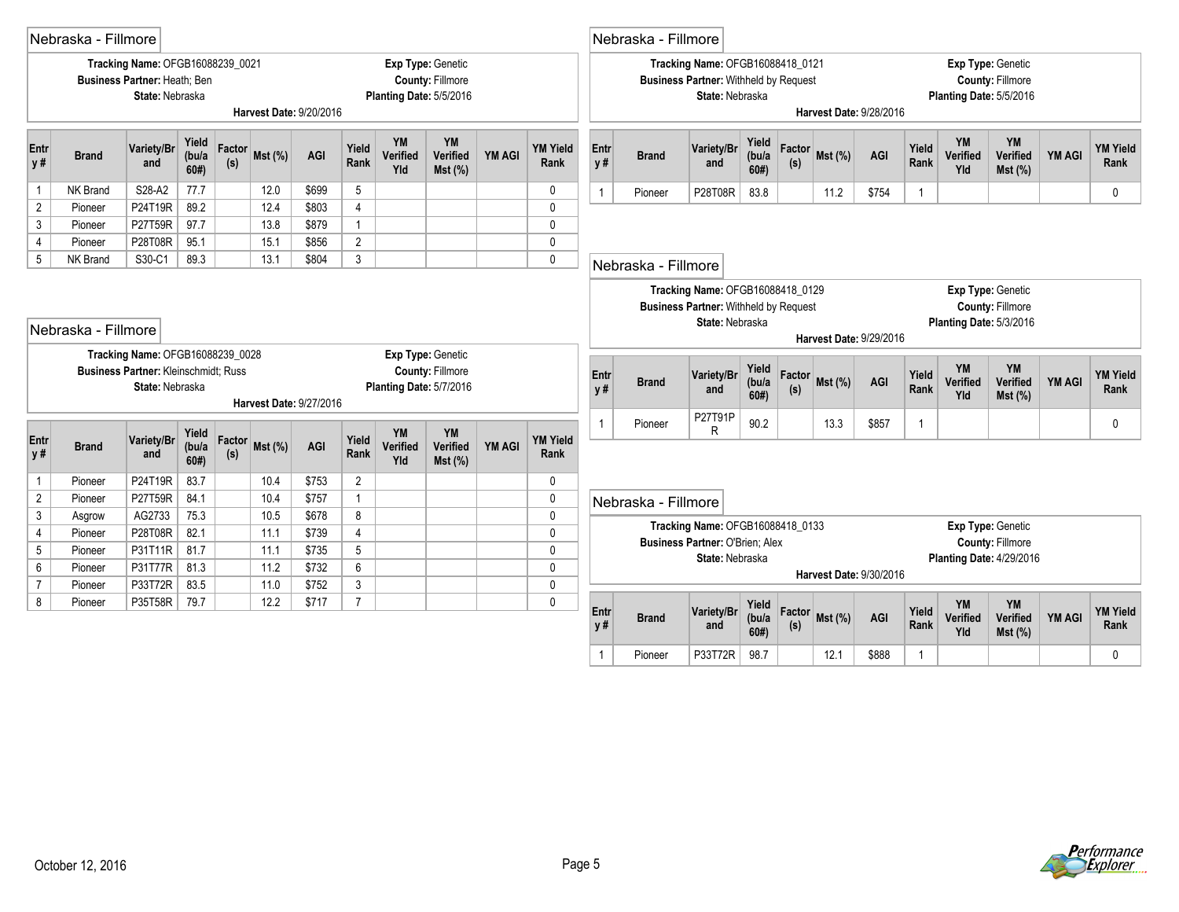|                | Nebraska - Fillmore |                                                                                     |                       |               |           |                         |                |                              |                                                                         |               |                         |                               | Nebraska - Fillmore     |                                                                                                     |                        |               |                |                         |                |                                 |                                              |        |                         |
|----------------|---------------------|-------------------------------------------------------------------------------------|-----------------------|---------------|-----------|-------------------------|----------------|------------------------------|-------------------------------------------------------------------------|---------------|-------------------------|-------------------------------|-------------------------|-----------------------------------------------------------------------------------------------------|------------------------|---------------|----------------|-------------------------|----------------|---------------------------------|----------------------------------------------|--------|-------------------------|
|                |                     | Tracking Name: OFGB16088239_0021<br>Business Partner: Heath; Ben<br>State: Nebraska |                       |               |           | Harvest Date: 9/20/2016 |                |                              | Exp Type: Genetic<br><b>County: Fillmore</b><br>Planting Date: 5/5/2016 |               |                         |                               |                         | Tracking Name: OFGB16088418 0121<br><b>Business Partner: Withheld by Request</b><br>State: Nebraska |                        |               |                | Harvest Date: 9/28/2016 |                | Planting Date: 5/5/2016         | Exp Type: Genetic<br><b>County: Fillmore</b> |        |                         |
| Entr<br>y #    | <b>Brand</b>        | Variety/Br<br>and                                                                   | Yield<br>(bu/a<br>60# | Factor<br>(s) | Mst (%)   | AGI                     | Yield<br>Rank  | <b>YM</b><br>Verified<br>Yld | YM<br>Verified<br>Mst(%)                                                | <b>YM AGI</b> | <b>YM Yield</b><br>Rank | Entr<br>y#                    | <b>Brand</b>            | Variety/Br<br>and                                                                                   | Yield<br>(bu/a)<br>60# | Factor<br>(s) | Mst(%)         | AGI                     | Yield<br>Rank  | YM<br>Verified<br>Yld           | YM<br>Verified<br>$Mst$ (%)                  | YM AGI | <b>YM Yield</b><br>Rank |
| $\mathbf{1}$   | <b>NK Brand</b>     | S28-A2                                                                              | 77.7                  |               | 12.0      | \$699                   | 5              |                              |                                                                         |               | $\mathbf 0$             | $\overline{1}$                | Pioneer                 | P28T08R                                                                                             | 83.8                   |               | 11.2           | \$754                   | $\mathbf{1}$   |                                 |                                              |        | $\mathbf{0}$            |
| $\overline{2}$ | Pioneer             | P24T19R                                                                             | 89.2                  |               | 12.4      | \$803                   | $\overline{4}$ |                              |                                                                         |               | $\mathbf 0$             |                               |                         |                                                                                                     |                        |               |                |                         |                |                                 |                                              |        |                         |
| 3              | Pioneer             | P27T59R                                                                             | 97.7                  |               | 13.8      | \$879                   | $\mathbf{1}$   |                              |                                                                         |               | $\mathbf 0$             |                               |                         |                                                                                                     |                        |               |                |                         |                |                                 |                                              |        |                         |
| 4              | Pioneer             | P28T08R                                                                             | 95.1                  |               | 15.1      | \$856                   | $\overline{2}$ |                              |                                                                         |               | $\mathbf 0$             |                               |                         |                                                                                                     |                        |               |                |                         |                |                                 |                                              |        |                         |
| 5              | NK Brand            | S30-C1                                                                              | 89.3                  |               | 13.1      | \$804                   | 3              |                              |                                                                         |               | $\mathbf 0$             |                               | Nebraska - Fillmore     |                                                                                                     |                        |               |                |                         |                |                                 |                                              |        |                         |
|                | Nebraska - Fillmore | Tracking Name: OFGB16088239 0028                                                    |                       |               |           |                         |                |                              | <b>Exp Type: Genetic</b>                                                |               |                         |                               |                         | Tracking Name: OFGB16088418_0129<br><b>Business Partner: Withheld by Request</b><br>State: Nebraska |                        |               |                | Harvest Date: 9/29/2016 |                | Planting Date: 5/3/2016         | Exp Type: Genetic<br><b>County: Fillmore</b> |        |                         |
|                |                     | Business Partner: Kleinschmidt; Russ<br>State: Nebraska                             |                       |               |           | Harvest Date: 9/27/2016 |                |                              | <b>County: Fillmore</b><br>Planting Date: 5/7/2016                      |               |                         | Entr<br>y#                    | <b>Brand</b>            | Variety/Br<br>and                                                                                   | Yield<br>(bu/a)<br>60# | (s)           | Factor Mst (%) | AGI                     | Yield<br>Rank  | YM<br>Verified<br>Yld           | YM<br>Verified<br>Mst (%)                    | YM AGI | <b>YM Yield</b><br>Rank |
| Entr<br>y #    | <b>Brand</b>        | Variety/Br<br>and                                                                   | Yield<br>(bu/a<br>60# | Factor<br>(s) | $Mst$ (%) | AGI                     | Yield<br>Rank  | YM<br>Verified<br>Yld        | YM<br>Verified<br>$Mst$ (%)                                             | <b>YM AGI</b> | <b>YM Yield</b><br>Rank | $\mathbf{1}$                  | Pioneer                 | P27T91P<br>R                                                                                        | 90.2                   |               | 13.3           | \$857                   | $\overline{1}$ |                                 |                                              |        | 0                       |
| $\mathbf{1}$   | Pioneer             | P24T19R                                                                             | 83.7                  |               | 10.4      | \$753                   | $\overline{2}$ |                              |                                                                         |               | 0                       |                               |                         |                                                                                                     |                        |               |                |                         |                |                                 |                                              |        |                         |
| $\overline{2}$ | Pioneer             | P27T59R                                                                             | 84.1                  |               | 10.4      | \$757                   | $\mathbf{1}$   |                              |                                                                         |               | $\pmb{0}$               |                               | Nebraska - Fillmore     |                                                                                                     |                        |               |                |                         |                |                                 |                                              |        |                         |
| $\mathfrak{Z}$ | Asgrow              | AG2733                                                                              | 75.3                  |               | 10.5      | \$678                   | 8              |                              |                                                                         |               | $\mathbf 0$             |                               |                         |                                                                                                     |                        |               |                |                         |                |                                 |                                              |        |                         |
| 4              | Pioneer             | P28T08R                                                                             | 82.1                  |               | 11.1      | \$739                   | $\overline{4}$ |                              |                                                                         |               | $\mathbf{0}$            |                               |                         | Tracking Name: OFGB16088418_0133<br>Business Partner: O'Brien: Alex                                 |                        |               |                |                         |                |                                 | Exp Type: Genetic<br><b>County: Fillmore</b> |        |                         |
| 5              | Pioneer             | P31T11R                                                                             | 81.7                  |               | 11.1      | \$735                   | 5              |                              |                                                                         |               | $\mathbf 0$             |                               |                         | State: Nebraska                                                                                     |                        |               |                |                         |                | <b>Planting Date: 4/29/2016</b> |                                              |        |                         |
| 6              | Pioneer             | P31T77R                                                                             | 81.3                  |               | 11.2      | \$732                   | 6              |                              |                                                                         |               | $\mathbf 0$             |                               |                         |                                                                                                     |                        |               |                | Harvest Date: 9/30/2016 |                |                                 |                                              |        |                         |
|                | Pioneer             | P33T72R                                                                             | 83.5                  |               | 11.0      | \$752                   | 3              |                              |                                                                         |               | $\mathbf 0$             |                               |                         |                                                                                                     |                        |               |                |                         |                |                                 |                                              |        |                         |
| 8              | Pioneer             | P35T58R                                                                             | 79.7                  |               | 12.2      | \$717                   | $\overline{7}$ |                              |                                                                         |               | $\mathbf{0}$            | Entr<br>y #<br>$\overline{1}$ | <b>Brand</b><br>Pioneer | Variety/Br<br>and                                                                                   | Yield<br>(bu/a)<br>60# | (s)           | Factor Mst (%) | AGI                     | Yield<br>Rank  | YM<br>Verified<br>Yld           | YM<br>Verified<br>Mst (%)                    | YM AGI | <b>YM Yield</b><br>Rank |
|                |                     |                                                                                     |                       |               |           |                         |                |                              |                                                                         |               |                         |                               |                         | P33T72R                                                                                             | 98.7                   |               | 12.1           | \$888                   | 1              |                                 |                                              |        | $\Omega$                |

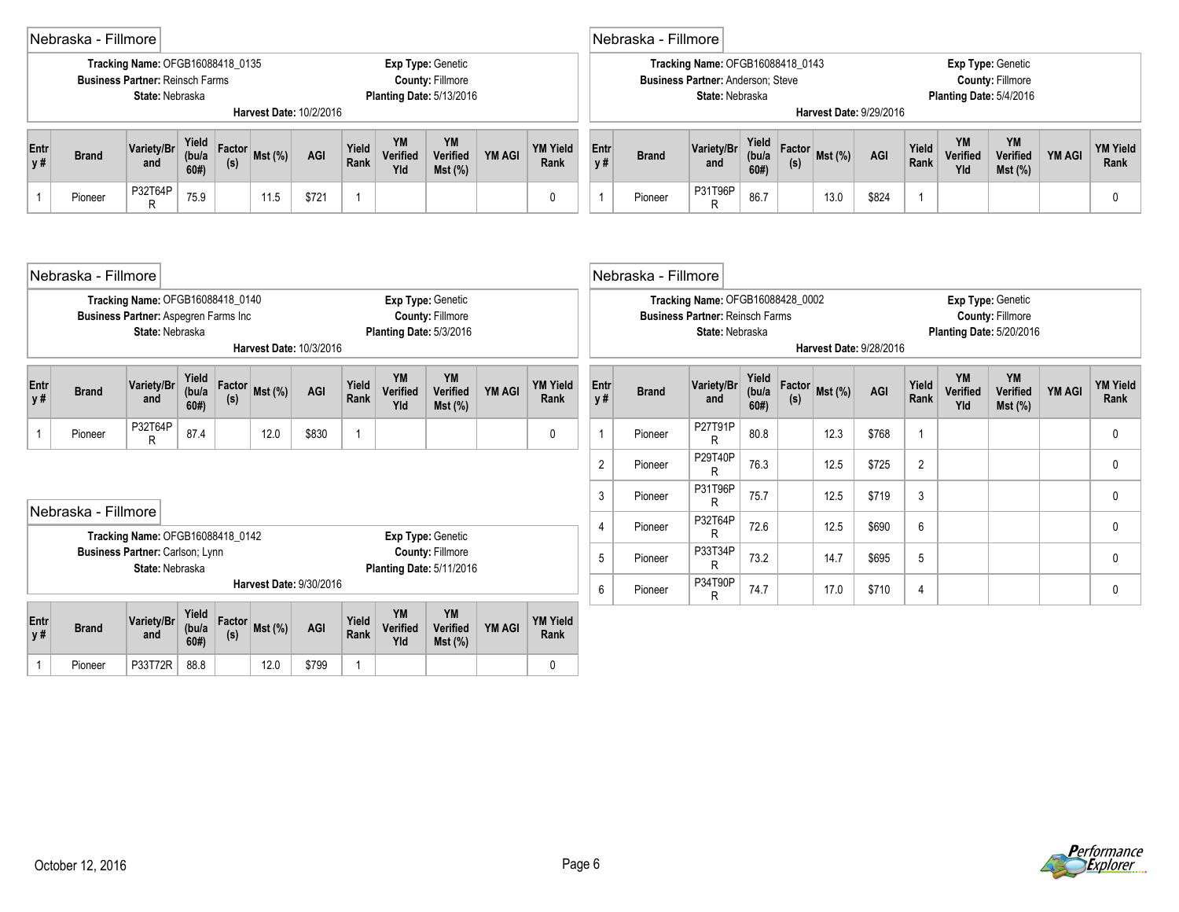|              | Nebraska - Fillmore                                                                                                                                                                                                      |                                                                                               |                       |               |        |                         |                |                              |                                                                                 |               |                         |                | Nebraska - Fillmore |                                                                                                 |                        |               |                         |       |                |                                 |                                              |               |                         |
|--------------|--------------------------------------------------------------------------------------------------------------------------------------------------------------------------------------------------------------------------|-----------------------------------------------------------------------------------------------|-----------------------|---------------|--------|-------------------------|----------------|------------------------------|---------------------------------------------------------------------------------|---------------|-------------------------|----------------|---------------------|-------------------------------------------------------------------------------------------------|------------------------|---------------|-------------------------|-------|----------------|---------------------------------|----------------------------------------------|---------------|-------------------------|
|              |                                                                                                                                                                                                                          | Tracking Name: OFGB16088418_0135<br><b>Business Partner: Reinsch Farms</b><br>State: Nebraska |                       |               |        | Harvest Date: 10/2/2016 |                |                              | Exp Type: Genetic<br><b>County: Fillmore</b><br><b>Planting Date: 5/13/2016</b> |               |                         |                |                     | Tracking Name: OFGB16088418_0143<br><b>Business Partner: Anderson: Steve</b><br>State: Nebraska |                        |               | Harvest Date: 9/29/2016 |       |                | Planting Date: 5/4/2016         | Exp Type: Genetic<br><b>County: Fillmore</b> |               |                         |
| Entr<br>y #  | <b>Brand</b>                                                                                                                                                                                                             | Variety/Br<br>and                                                                             | Yield<br>(bu/a<br>60# | Factor<br>(s) | Mst(%) | AGI                     | Yield<br>Rank  | <b>YM</b><br>Verified<br>Yld | <b>YM</b><br>Verified<br>Mst (%)                                                | <b>YM AGI</b> | <b>YM Yield</b><br>Rank | Entr<br>y#     | <b>Brand</b>        | Variety/Br<br>and                                                                               | Yield<br>(bu/a)<br>60# | Factor<br>(s) | Mst (%)                 | AGI   | Yield<br>Rank  | <b>YM</b><br>Verified<br>Yld    | <b>YM</b><br>Verified<br>$Mst$ (%)           | <b>YM AGI</b> | <b>YM Yield</b><br>Rank |
| $\mathbf{1}$ | Pioneer                                                                                                                                                                                                                  | P32T64P<br>R                                                                                  | 75.9                  |               | 11.5   | \$721                   | $\overline{1}$ |                              |                                                                                 |               | 0                       | $\overline{1}$ | Pioneer             | P31T96P<br>R                                                                                    | 86.7                   |               | 13.0                    | \$824 | 1              |                                 |                                              |               | 0                       |
|              | Nebraska - Fillmore<br>Tracking Name: OFGB16088418_0140<br>Exp Type: Genetic<br>Business Partner: Aspegren Farms Inc<br><b>County: Fillmore</b><br>State: Nebraska<br>Planting Date: 5/3/2016<br>Harvest Date: 10/3/2016 |                                                                                               |                       |               |        |                         |                |                              |                                                                                 |               |                         |                | Nebraska - Fillmore | Tracking Name: OFGB16088428 0002<br><b>Business Partner: Reinsch Farms</b>                      |                        |               |                         |       |                |                                 | Exp Type: Genetic<br><b>County: Fillmore</b> |               |                         |
|              |                                                                                                                                                                                                                          |                                                                                               |                       |               |        |                         |                |                              |                                                                                 |               |                         |                |                     | State: Nebraska                                                                                 |                        |               | Harvest Date: 9/28/2016 |       |                | <b>Planting Date: 5/20/2016</b> |                                              |               |                         |
| Entr<br>y #  | <b>Brand</b>                                                                                                                                                                                                             | Variety/Br<br>and                                                                             | Yield<br>(bu/a<br>60# | Factor<br>(s) | Mst(%) | AGI                     | Yield<br>Rank  | YM<br>Verified<br>Yld        | YM<br>Verified<br>Mst (%)                                                       | <b>YM AGI</b> | <b>YM Yield</b><br>Rank | Entr<br>y #    | <b>Brand</b>        | Variety/Br<br>and                                                                               | Yield<br>(bu/a<br>60#  | Factor<br>(s) | Mst (%)                 | AGI   | Yield<br>Rank  | YM<br>Verified<br>Yld           | YM<br>Verified<br>Mst (%)                    | YM AGI        | <b>YM Yield</b><br>Rank |
| $\mathbf{1}$ | Pioneer                                                                                                                                                                                                                  | P32T64P<br>R                                                                                  | 87.4                  |               | 12.0   | \$830                   | $\overline{1}$ |                              |                                                                                 |               | $\mathbf{0}$            | $\overline{1}$ | Pioneer             | P27T91P<br>R                                                                                    | 80.8                   |               | 12.3                    | \$768 | $\mathbf{1}$   |                                 |                                              |               | $\mathbf{0}$            |
|              |                                                                                                                                                                                                                          |                                                                                               |                       |               |        |                         |                |                              |                                                                                 |               |                         | $\overline{2}$ | Pioneer             | P29T40P<br>R                                                                                    | 76.3                   |               | 12.5                    | \$725 | $\overline{2}$ |                                 |                                              |               | $\mathbf{0}$            |
|              |                                                                                                                                                                                                                          |                                                                                               |                       |               |        |                         |                |                              |                                                                                 |               |                         | 3              | Pioneer             | P31T96P<br>R                                                                                    | 75.7                   |               | 12.5                    | \$719 | 3              |                                 |                                              |               | 0                       |
|              | Nebraska - Fillmore                                                                                                                                                                                                      |                                                                                               |                       |               |        |                         |                |                              |                                                                                 |               |                         | $\overline{4}$ | Pioneer             | P32T64P<br>R                                                                                    | 72.6                   |               | 12.5                    | \$690 | 6              |                                 |                                              |               | 0                       |
|              |                                                                                                                                                                                                                          | Tracking Name: OFGB16088418_0142<br>Business Partner: Carlson; Lynn<br>State: Nebraska        |                       |               |        |                         |                |                              | Exp Type: Genetic<br><b>County: Fillmore</b><br><b>Planting Date: 5/11/2016</b> |               |                         | 5              | Pioneer             | P33T34P<br>R                                                                                    | 73.2                   |               | 14.7                    | \$695 | 5              |                                 |                                              |               | 0                       |
|              |                                                                                                                                                                                                                          |                                                                                               |                       |               |        | Harvest Date: 9/30/2016 |                |                              |                                                                                 |               |                         | $6\phantom{1}$ | Pioneer             | P34T90P<br>R                                                                                    | 74.7                   |               | 17.0                    | \$710 | 4              |                                 |                                              |               | 0                       |



1 Pioneer P33T72R 88.8 12.0 \$799 1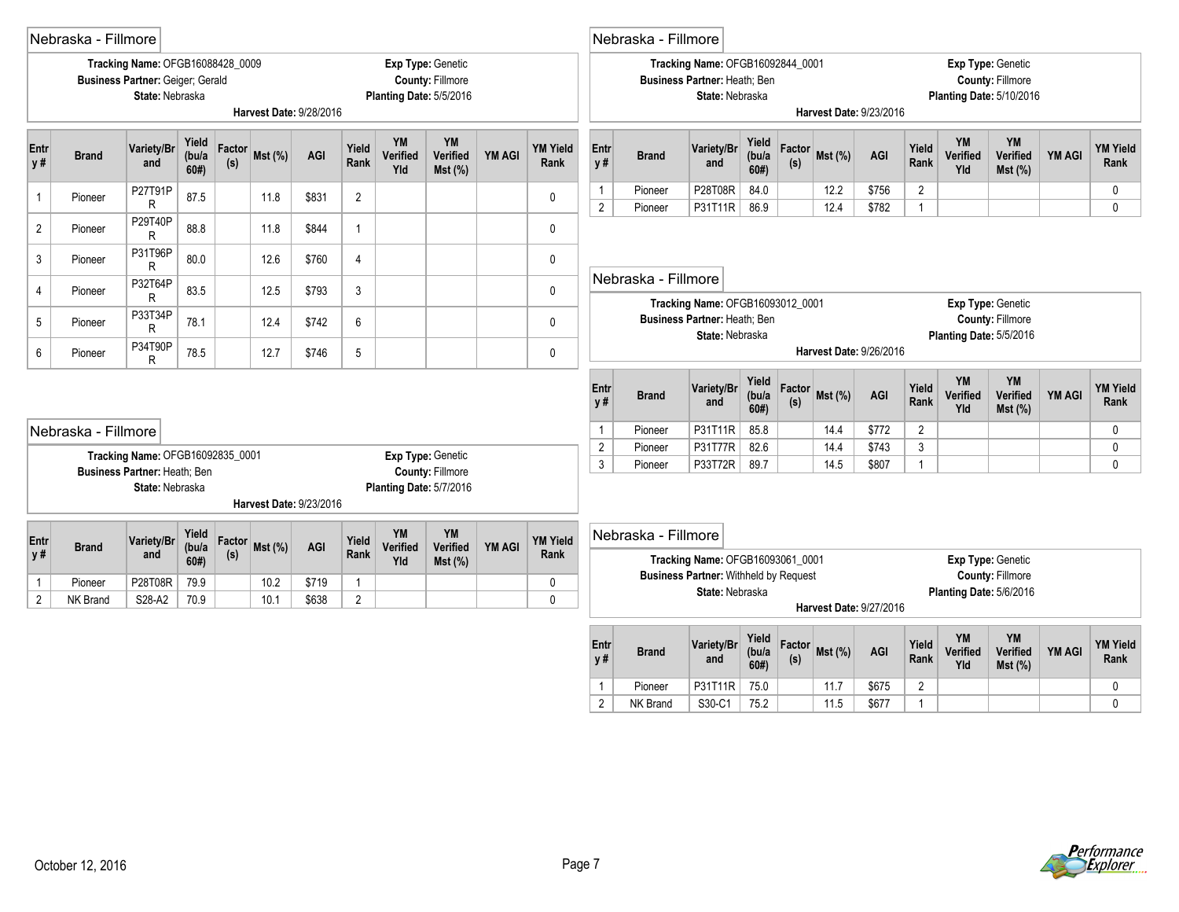|              | Nebraska - Fillmore |                                                                                         |                        |               |                         |       |                |                              |                                              |               |                         |                | Nebraska - Fillmore |                                                                                     |                        |               |                |                         |                |                              |                                                                                 |               |                         |
|--------------|---------------------|-----------------------------------------------------------------------------------------|------------------------|---------------|-------------------------|-------|----------------|------------------------------|----------------------------------------------|---------------|-------------------------|----------------|---------------------|-------------------------------------------------------------------------------------|------------------------|---------------|----------------|-------------------------|----------------|------------------------------|---------------------------------------------------------------------------------|---------------|-------------------------|
|              |                     | Tracking Name: OFGB16088428 0009<br>Business Partner: Geiger; Gerald<br>State: Nebraska |                        |               | Harvest Date: 9/28/2016 |       |                | Planting Date: 5/5/2016      | Exp Type: Genetic<br><b>County: Fillmore</b> |               |                         |                |                     | Tracking Name: OFGB16092844 0001<br>Business Partner: Heath; Ben<br>State: Nebraska |                        |               |                | Harvest Date: 9/23/2016 |                |                              | Exp Type: Genetic<br><b>County: Fillmore</b><br><b>Planting Date: 5/10/2016</b> |               |                         |
|              |                     |                                                                                         |                        |               |                         |       |                |                              |                                              |               |                         |                |                     |                                                                                     |                        |               |                |                         |                |                              |                                                                                 |               |                         |
| Entr<br>y#   | <b>Brand</b>        | Variety/Br<br>and                                                                       | Yield<br>(bu/a)<br>60# | Factor<br>(s) | Mst (%)                 | AGI   | Yield<br>Rank  | <b>YM</b><br>Verified<br>Yld | YM<br>Verified<br>$Mst$ (%)                  | <b>YM AGI</b> | <b>YM Yield</b><br>Rank | Entr<br>y #    | <b>Brand</b>        | Variety/Br<br>and                                                                   | Yield<br>(bu/a)<br>60# | Factor<br>(s) | Mst(%)         | AGI                     | Yield<br>Rank  | YM<br>Verified<br>Yld        | <b>YM</b><br>Verified<br>$Mst$ (%)                                              | <b>YM AGI</b> | <b>YM Yield</b><br>Rank |
| 1            | Pioneer             | P27T91P                                                                                 | 87.5                   |               | 11.8                    | \$831 | $\overline{2}$ |                              |                                              |               | $\pmb{0}$               | $\mathbf{1}$   | Pioneer             | P28T08R                                                                             | 84.0                   |               | 12.2           | \$756                   | $\overline{2}$ |                              |                                                                                 |               | 0                       |
| $\sqrt{2}$   | Pioneer             | R<br>P29T40P                                                                            | 88.8                   |               | 11.8                    | \$844 | $\overline{1}$ |                              |                                              |               | $\mathbf 0$             | $\overline{2}$ | Pioneer             | P31T11R                                                                             | 86.9                   |               | 12.4           | \$782                   | $\overline{1}$ |                              |                                                                                 |               | $\mathbf{0}$            |
| 3            | Pioneer             | R<br>P31T96P                                                                            | 80.0                   |               | 12.6                    | \$760 | $\overline{4}$ |                              |                                              |               | $\mathbf 0$             |                |                     |                                                                                     |                        |               |                |                         |                |                              |                                                                                 |               |                         |
|              |                     | R<br>P32T64P                                                                            |                        |               |                         |       |                |                              |                                              |               |                         |                | Nebraska - Fillmore |                                                                                     |                        |               |                |                         |                |                              |                                                                                 |               |                         |
| 4            | Pioneer             | R                                                                                       | 83.5                   |               | 12.5                    | \$793 | 3              |                              |                                              |               | $\mathbf 0$             |                |                     | Tracking Name: OFGB16093012_0001                                                    |                        |               |                |                         |                |                              | Exp Type: Genetic                                                               |               |                         |
| 5            | Pioneer             | P33T34P<br>R                                                                            | 78.1                   |               | 12.4                    | \$742 | 6              |                              |                                              |               | 0                       |                |                     | Business Partner: Heath; Ben<br>State: Nebraska                                     |                        |               |                |                         |                | Planting Date: 5/5/2016      | <b>County: Fillmore</b>                                                         |               |                         |
| 6            | Pioneer             | P34T90P<br>R                                                                            | 78.5                   |               | 12.7                    | \$746 | $\sqrt{5}$     |                              |                                              |               | 0                       |                |                     |                                                                                     |                        |               |                | Harvest Date: 9/26/2016 |                |                              |                                                                                 |               |                         |
|              |                     |                                                                                         |                        |               |                         |       |                |                              |                                              |               |                         | Entr<br>y#     | <b>Brand</b>        | Variety/Br<br>and                                                                   | Yield<br>(bu/a<br>60#  | Factor<br>(s) | <b>Mst (%)</b> | AGI                     | Yield<br>Rank  | <b>YM</b><br>Verified<br>Yld | YM<br>Verified<br>Mst(%)                                                        | <b>YM AGI</b> | <b>YM Yield</b><br>Rank |
|              | Nebraska - Fillmore |                                                                                         |                        |               |                         |       |                |                              |                                              |               |                         | $\mathbf{1}$   | Pioneer             | P31T11R                                                                             | 85.8                   |               | 14.4           | \$772                   | $\overline{2}$ |                              |                                                                                 |               | $\mathbf 0$             |
|              |                     | Tracking Name: OFGB16092835_0001                                                        |                        |               |                         |       |                |                              | Exp Type: Genetic                            |               |                         | $\overline{2}$ | Pioneer             | P31T77R                                                                             | 82.6                   |               | 14.4           | \$743                   | $\mathbf{3}$   |                              |                                                                                 |               | $\mathbf 0$             |
|              |                     | Business Partner: Heath; Ben                                                            |                        |               |                         |       |                |                              | County: Fillmore                             |               |                         | $\mathfrak{Z}$ | Pioneer             | P33T72R                                                                             | 89.7                   |               | 14.5           | \$807                   | $\overline{1}$ |                              |                                                                                 |               | $\mathbf{0}$            |
|              |                     | State: Nebraska                                                                         |                        |               | Harvest Date: 9/23/2016 |       |                | Planting Date: 5/7/2016      |                                              |               |                         |                |                     |                                                                                     |                        |               |                |                         |                |                              |                                                                                 |               |                         |
|              |                     |                                                                                         |                        |               |                         |       |                |                              |                                              |               |                         |                |                     |                                                                                     |                        |               |                |                         |                |                              |                                                                                 |               |                         |
| Entr         | <b>Brand</b>        | Variety/Br                                                                              | Yield<br>(bu/a)        | Factor        | Mst (%)                 | AGI   | Yield<br>Rank  | <b>YM</b><br>Verified        | YM<br>Verified                               | <b>YM AGI</b> | <b>YM Yield</b>         |                | Nebraska - Fillmore |                                                                                     |                        |               |                |                         |                |                              |                                                                                 |               |                         |
| <b>y#</b>    |                     | and                                                                                     | 60#                    | (s)           |                         |       |                | Yld                          | $Mst$ (%)                                    |               | Rank                    |                |                     | Tracking Name: OFGB16093061_0001                                                    |                        |               |                |                         |                |                              | Exp Type: Genetic                                                               |               |                         |
| $\mathbf{1}$ | Pioneer             | P28T08R                                                                                 | 79.9                   |               | 10.2                    | \$719 | $\overline{1}$ |                              |                                              |               | $\mathbf 0$             |                |                     | <b>Business Partner: Withheld by Request</b><br>State: Nebraska                     |                        |               |                |                         |                | Planting Date: 5/6/2016      | <b>County: Fillmore</b>                                                         |               |                         |
| 2            | NK Brand            | S28-A2                                                                                  | 70.9                   |               | 10.1                    | \$638 | $\overline{2}$ |                              |                                              |               | $\mathbf{0}$            |                |                     |                                                                                     |                        |               |                | Harvest Date: 9/27/2016 |                |                              |                                                                                 |               |                         |
|              |                     |                                                                                         |                        |               |                         |       |                |                              |                                              |               |                         | Entr<br>y#     | <b>Brand</b>        | Variety/Br<br>and                                                                   | Yield<br>(bu/a<br>60#  | Factor<br>(s) | $Mst$ (%)      | AGI                     | Yield<br>Rank  | <b>YM</b><br>Verified<br>Yld | YM<br>Verified<br>Mst(%)                                                        | <b>YM AGI</b> | <b>YM Yield</b><br>Rank |
|              |                     |                                                                                         |                        |               |                         |       |                |                              |                                              |               |                         | $\mathbf{1}$   | Pioneer             | P31T11R                                                                             | 75.0                   |               | 11.7           | \$675                   | $\overline{2}$ |                              |                                                                                 |               | 0                       |
|              |                     |                                                                                         |                        |               |                         |       |                |                              |                                              |               |                         |                |                     |                                                                                     |                        |               |                |                         | $\overline{1}$ |                              |                                                                                 |               | $\mathbf{0}$            |

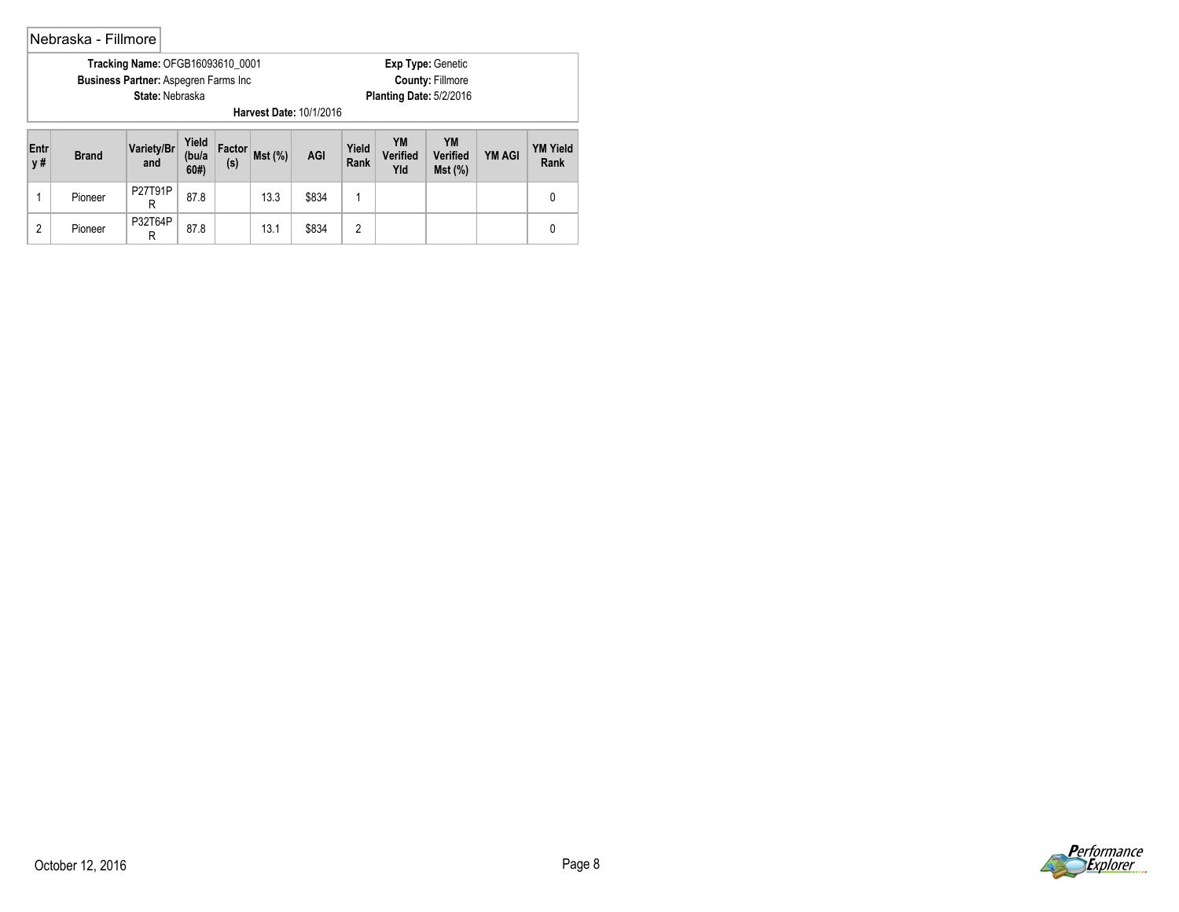## Nebraska - Fillmore

| <b>Tracking Name: OFGB16093610 0001</b>      | <b>Exp Type: Genetic</b> |
|----------------------------------------------|--------------------------|
| <b>Business Partner: Aspegren Farms Inc.</b> | <b>County: Fillmore</b>  |
| <b>State: Nebraska</b>                       | Planting Date: 5/2/2016  |
| Harvest Date: 10/1/2016                      |                          |

| Entr<br>y# | <b>Brand</b> | Variety/Br<br>and | Yield<br>(bu/a<br>60# | Factor<br>(s) | Mst(%) | <b>AGI</b> | Yield<br>Rank | YM<br><b>Verified</b><br>Yld | YM<br>Verified<br>Mst(%) | <b>YM AGI</b> | YM Yield<br>Rank |
|------------|--------------|-------------------|-----------------------|---------------|--------|------------|---------------|------------------------------|--------------------------|---------------|------------------|
|            | Pioneer      | P27T91P           | 87.8                  |               | 13.3   | \$834      |               |                              |                          |               |                  |
| c          | Pioneer      | P32T64P           | 87.8                  |               | 13.1   | \$834      |               |                              |                          |               |                  |

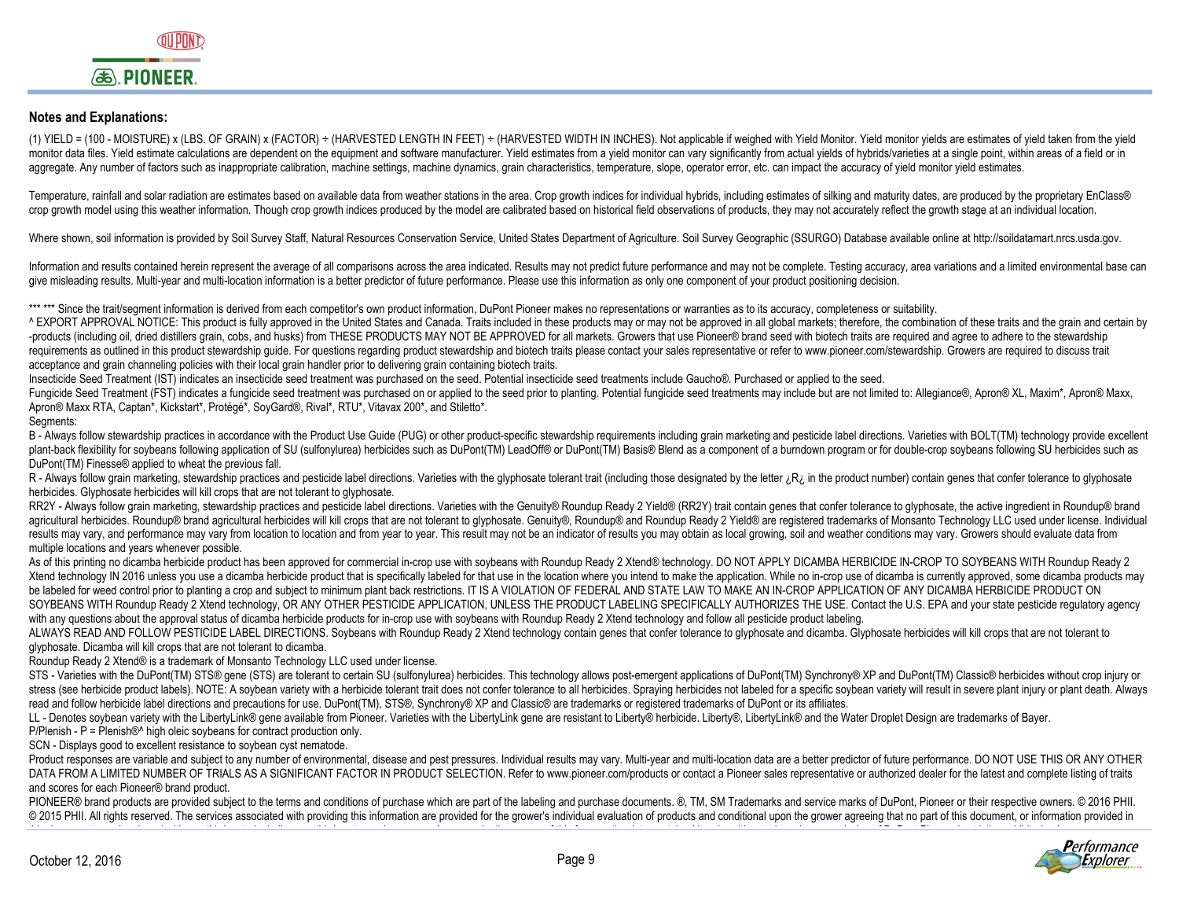## **Notes and Explanations:**

(1) YIELD = (100 - MOISTURE) x (LBS, OF GRAIN) x (FACTOR) ÷ (HARVESTED LENGTH IN FEET) ÷ (HARVESTED WIDTH IN INCHES). Not applicable if weighed with Yield Monitor. Yield monitor vields are estimates of vield taken from the monitor data files. Yield estimate calculations are dependent on the equipment and software manufacturer. Yield estimates from a yield monitor can vary significantly from actual yields of hybrids/varieties at a single poin aggregate. Any number of factors such as inappropriate calibration, machine settings, machine dynamics, grain characteristics, temperature, slope, operator error, etc. can impact the accuracy of yield monitor yield estimat

Temperature, rainfall and solar radiation are estimates based on available data from weather stations in the area. Crop growth indices for individual hybrids, including estimates of silking and maturity dates, are produced crop growth model using this weather information. Though crop growth indices produced by the model are calibrated based on historical field observations of products, they may not accurately reflect the growth stage at an i

Where shown, soil information is provided by Soil Survey Staff, Natural Resources Conservation Service, United States Department of Agriculture. Soil Survey Geographic (SSURGO) Database available online at http://soildatam

Information and results contained herein represent the average of all comparisons across the area indicated. Results may not predict future performance and may not be complete. Testing accuracy, area variations and a limit give misleading results. Multi-year and multi-location information is a better predictor of future performance. Please use this information as only one component of your product positioning decision.

\*\*\*\*\*\* Since the trait/segment information is derived from each competitor's own product information, DuPont Pioneer makes no representations or warranties as to its accuracy, completeness or suitability.

^ EXPORT APPROVAL NOTICE: This product is fully approved in the United States and Canada. Traits included in these products may or may not be approved in all global markets: therefore, the combination of these traits and t -products (including oil, dried distillers grain, cobs, and husks) from THESE PRODUCTS MAY NOT BE APPROVED for all markets. Growers that use Pioneer® brand seed with biotech traits are required and agree to adhere to the s requirements as outlined in this product stewardship guide. For questions regarding product stewardship and biotech traits please contact your sales representative or refer to www.pioneer.com/stewardship. Growers are requi acceptance and grain channeling policies with their local grain handler prior to delivering grain containing biotech traits.

Insecticide Seed Treatment (IST) indicates an insecticide seed treatment was purchased on the seed. Potential insecticide seed treatments include Gaucho®. Purchased or applied to the seed.

Fungicide Seed Treatment (FST) indicates a fungicide seed treatment was purchased on or applied to the seed prior to planting. Potential fungicide seed treatments may include but are not limited to: Allegiance®, Apron® XL, Apron® Maxx RTA, Captan\*, Kickstart\*, Protégé\*, SoyGard®, Rival\*, RTU\*, Vitavax 200\*, and Stiletto\*.

Seaments:

B - Always follow stewardship practices in accordance with the Product Use Guide (PUG) or other product-specific stewardship requirements including grain marketing and pesticide label directions. Varieties with BOLT(TM) te plant-back flexibility for soybeans following application of SU (sulfonylurea) herbicides such as DuPont(TM) LeadOff® or DuPont(TM) Basis® Blend as a component of a burndown program or for double-crop soybeans following SU DuPont(TM) Finesse® applied to wheat the previous fall.

R - Always follow grain marketing, stewardship practices and pesticide label directions. Varieties with the glyphosate tolerant trait (including those designated by the letter ¿R in the product number) contain genes that c herbicides. Glyphosate herbicides will kill crops that are not tolerant to glyphosate.

RR2Y - Always follow grain marketing, stewardship practices and pesticide label directions. Varieties with the Genuity® Roundup Ready 2 Yield® (RR2Y) trait contain genes that confer tolerance to glyphosate, the active ingr agricultural herbicides. Roundup® brand agricultural herbicides will kill crops that are not tolerant to glyphosate. Genuity®, Roundup® and Roundup Ready 2 Yield® are registered trademarks of Monsanto Technology LLC used u results may vary, and performance may vary from location to location and from year to year. This result may not be an indicator of results you may obtain as local growing, soil and weather conditions may vary. Growers shou multiple locations and years whenever possible.

As of this printing no dicamba herbicide product has been approved for commercial in-crop use with soybeans with Roundup Ready 2 Xtend® technology. DO NOT APPLY DICAMBA HERBICIDE IN-CROP TO SOYBEANS WITH Roundup Ready 2 Xtend technology IN 2016 unless you use a dicamba herbicide product that is specifically labeled for that use in the location where you intend to make the application. While no in-crop use of dicamba is currently approved, be labeled for weed control prior to planting a crop and subject to minimum plant back restrictions. IT IS A VIOLATION OF FEDERAL AND STATE LAW TO MAKE AN IN-CROP APPLICATION OF ANY DICAMBA HERBICIDE PRODUCT ON SOYBEANS WITH Roundup Ready 2 Xtend technology, OR ANY OTHER PESTICIDE APPLICATION, UNLESS THE PRODUCT LABELING SPECIFICALLY AUTHORIZES THE USE. Contact the U.S. EPA and your state pesticide regulatory agency with any questions about the approval status of dicamba herbicide products for in-crop use with soybeans with Roundup Ready 2 Xtend technology and follow all pesticide product labeling.

ALWAYS READ AND FOLLOW PESTICIDE LABEL DIRECTIONS. Soybeans with Roundup Ready 2 Xtend technology contain genes that confer tolerance to glyphosate and dicamba. Glyphosate herbicides will kill crops that are not tolerant to glyphosate. Dicamba will kill crops that are not tolerant to dicamba.

Roundup Ready 2 Xtend® is a trademark of Monsanto Technology LLC used under license.

STS - Varieties with the DuPont(TM) STS® gene (STS) are tolerant to certain SU (sulfonylurea) herbicides. This technology allows post-emergent applications of DuPont(TM) Synchrony® XP and DuPont(TM) Classic® herbicides wit stress (see herbicide product labels). NOTE: A soybean variety with a herbicide tolerant trait does not confer tolerance to all herbicides. Spraying herbicides not labeled for a specific soybean variety will result in seve read and follow herbicide label directions and precautions for use. DuPont(TM), STS®, Synchrony® XP and Classic® are trademarks or registered trademarks of DuPont or its affiliates.

LL - Denotes soybean variety with the LibertyLink® gene available from Pioneer. Varieties with the LibertyLink gene are resistant to Liberty® herbicide. Liberty®, LibertyLink® and the Water Droplet Design are trademarks of

P/Plenish - P = Plenish<sup>®^</sup> high oleic soybeans for contract production only.

SCN - Displays good to excellent resistance to soybean cyst nematode.

Product responses are variable and subject to any number of environmental, disease and pest pressures, Individual results may vary. Multi-year and multi-location data are a better predictor of future performance, DO NOT US DATA FROM A LIMITED NUMBER OF TRIALS AS A SIGNIFICANT FACTOR IN PRODUCT SELECTION. Refer to www.pioneer.com/products or contact a Pioneer sales representative or authorized dealer for the latest and complete listing of tra and scores for each Pioneer® brand product.

PIONEER® brand products are provided subject to the terms and conditions of purchase which are part of the labeling and purchase documents. ®. TM, SM Trademarks and service marks of DuPont. Pioneer or their respective owne © 2015 PHII. All rights reserved. The services associated with providing this information are provided for the grower's individual evaluation of products and conditional upon the grower agreeing that no part of this docume ,一个人都是一个人的人,一个人都是一个人的人,一个人都是一个人的人,一个人都是一个人的人,一个人都是一个人的人,一个人都是一个人的人,一个人都是一个人的人,一个人